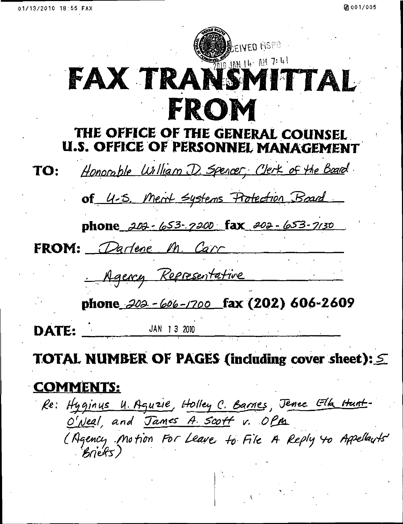# BEIVED MSPE **THE JAN 14. AM 7:41 FAX TRANS** TAL FROM

#### THE OFFICE OF THE GENERAL COUNSEL U.S. OFFICE OF PERSONNEL MANAGEMENT

Honorable William D. Spencer, Clerk of the Board. TO: of 4-5. Ment Systems Protection Board phone 202-653-7200 fax 202-653-7130 FROM: Darlene M. Carr Agency Representative phone  $202 - 606 - 1700$  fax (202) 606-2609 JAN 1 3 2010 DATE:

# TOTAL NUMBER OF PAGES (including cover sheet):  $\leq$

### COMMENTS;

Re: Hyginus U. Aguzie, Holley C. Barnes, Jenee Ella Hunt-O'Neal, and James A. Scott v. OPM (Agency Motion For Leave. to File A Reply to Appellauts'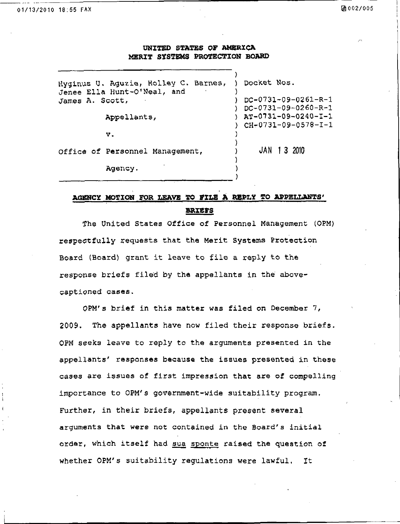#### UNITED STATES OF AMERICA MERIT SYSTEMS PROTECTION BOARD

Hyginus U. Aguzie, Holley C. Barnes, ) Docket Nos. Jenee Ella Hunt-O'Neal, and<br>James A. Scott,  $)$  DC-0731-09-0261-R-1 ) DC-0731-09-0260-R-1 Appellants, ) AT-0731-09-0240-I-1 ) CH-0731-09-0578-I-1 v. ) ) Office of Personnel Management, ) JAN 1 3 2010 ) Agency.

#### AGENCY MOTION FOR LEAVE TO FILE A REPLY TO APPELLANTS' BRIEFS

The United States Office of Personnel Management (0PM) respectfully requests that the Merit Systems Protection Board (Board) grant it leave to file a reply to the response briefs filed by the appellants in the abovecaptioned cases.

0PM's brief in this matter was filed on December 7, 2009, The appellants have now filed their response briefs. 0PM seeks leave to reply to the arguments presented in the appellants' responses because the issues presented in these cases are issues of first impression that are of compelling importance to 0PM's government-wide suitability program. Further, in their briefs, appellants present several arguments that were not contained in the Board's initial order, which itself had sua sponte raised the question of whether 0PM's suitability regulations were lawful. It